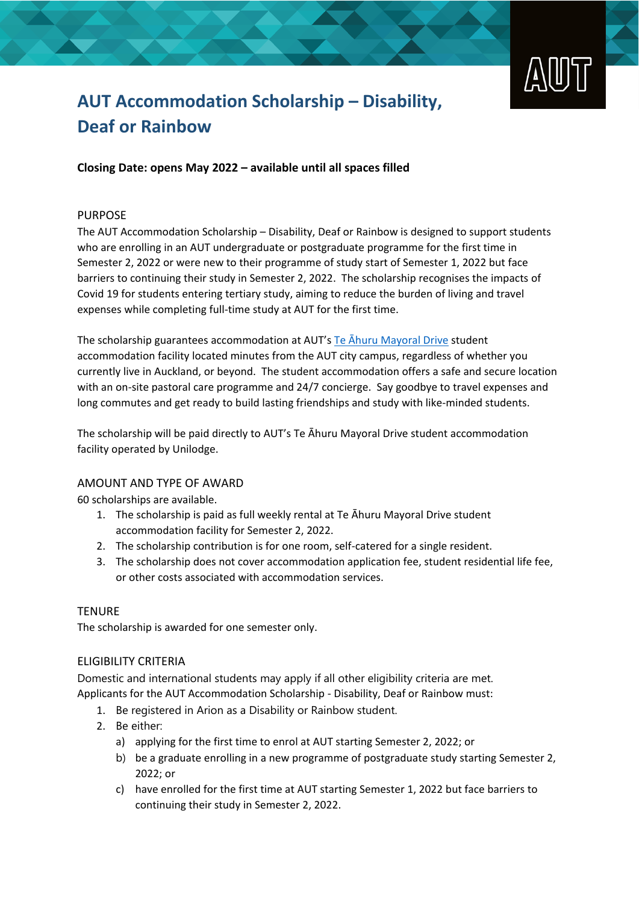

# **AUT Accommodation Scholarship – Disability, Deaf or Rainbow**

**Closing Date: opens May 2022 – available until all spaces filled**

### PURPOSE

The AUT Accommodation Scholarship – Disability, Deaf or Rainbow is designed to support students who are enrolling in an AUT undergraduate or postgraduate programme for the first time in Semester 2, 2022 or were new to their programme of study start of Semester 1, 2022 but face barriers to continuing their study in Semester 2, 2022. The scholarship recognises the impacts of Covid 19 for students entering tertiary study, aiming to reduce the burden of living and travel expenses while completing full-time study at AUT for the first time.

The scholarship guarantees accommodation at AUT's Te Āhuru [Mayoral Drive](https://www.aut.ac.nz/student-life/accommodation/te-ahuru-mayoral-drive-student-accommodation-city-campus) student accommodation facility located minutes from the AUT city campus, regardless of whether you currently live in Auckland, or beyond. The student accommodation offers a safe and secure location with an on-site pastoral care programme and 24/7 concierge. Say goodbye to travel expenses and long commutes and get ready to build lasting friendships and study with like-minded students.

The scholarship will be paid directly to AUT's Te Āhuru Mayoral Drive student accommodation facility operated by Unilodge.

### AMOUNT AND TYPE OF AWARD

60 scholarships are available.

- 1. The scholarship is paid as full weekly rental at Te Āhuru Mayoral Drive student accommodation facility for Semester 2, 2022.
- 2. The scholarship contribution is for one room, self-catered for a single resident.
- 3. The scholarship does not cover accommodation application fee, student residential life fee, or other costs associated with accommodation services.

### **TENURE**

The scholarship is awarded for one semester only.

### ELIGIBILITY CRITERIA

Domestic and international students may apply if all other eligibility criteria are met. Applicants for the AUT Accommodation Scholarship - Disability, Deaf or Rainbow must:

- 1. Be registered in Arion as a Disability or Rainbow student.
- 2. Be either:
	- a) applying for the first time to enrol at AUT starting Semester 2, 2022; or
	- b) be a graduate enrolling in a new programme of postgraduate study starting Semester 2, 2022; or
	- c) have enrolled for the first time at AUT starting Semester 1, 2022 but face barriers to continuing their study in Semester 2, 2022.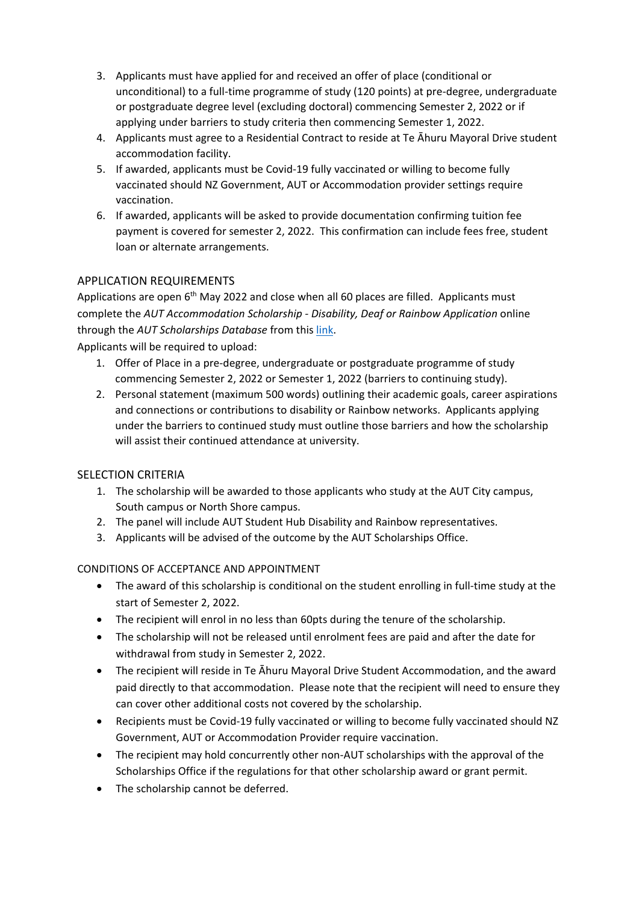- 3. Applicants must have applied for and received an offer of place (conditional or unconditional) to a full-time programme of study (120 points) at pre-degree, undergraduate or postgraduate degree level (excluding doctoral) commencing Semester 2, 2022 or if applying under barriers to study criteria then commencing Semester 1, 2022.
- 4. Applicants must agree to a Residential Contract to reside at Te Āhuru Mayoral Drive student accommodation facility.
- 5. If awarded, applicants must be Covid-19 fully vaccinated or willing to become fully vaccinated should NZ Government, AUT or Accommodation provider settings require vaccination.
- 6. If awarded, applicants will be asked to provide documentation confirming tuition fee payment is covered for semester 2, 2022. This confirmation can include fees free, student loan or alternate arrangements.

## APPLICATION REQUIREMENTS

Applications are open 6<sup>th</sup> May 2022 and close when all 60 places are filled. Applicants must complete the *AUT Accommodation Scholarship - Disability, Deaf or Rainbow Application* online through the *AUT Scholarships Database* from this [link.](http://www.aut.ac.nz/scholarships)

Applicants will be required to upload:

- 1. Offer of Place in a pre-degree, undergraduate or postgraduate programme of study commencing Semester 2, 2022 or Semester 1, 2022 (barriers to continuing study).
- 2. Personal statement (maximum 500 words) outlining their academic goals, career aspirations and connections or contributions to disability or Rainbow networks. Applicants applying under the barriers to continued study must outline those barriers and how the scholarship will assist their continued attendance at university.

### SELECTION CRITERIA

- 1. The scholarship will be awarded to those applicants who study at the AUT City campus, South campus or North Shore campus.
- 2. The panel will include AUT Student Hub Disability and Rainbow representatives.
- 3. Applicants will be advised of the outcome by the AUT Scholarships Office.

#### CONDITIONS OF ACCEPTANCE AND APPOINTMENT

- The award of this scholarship is conditional on the student enrolling in full-time study at the start of Semester 2, 2022.
- The recipient will enrol in no less than 60pts during the tenure of the scholarship.
- The scholarship will not be released until enrolment fees are paid and after the date for withdrawal from study in Semester 2, 2022.
- The recipient will reside in Te Āhuru Mayoral Drive Student Accommodation, and the award paid directly to that accommodation. Please note that the recipient will need to ensure they can cover other additional costs not covered by the scholarship.
- Recipients must be Covid-19 fully vaccinated or willing to become fully vaccinated should NZ Government, AUT or Accommodation Provider require vaccination.
- The recipient may hold concurrently other non-AUT scholarships with the approval of the Scholarships Office if the regulations for that other scholarship award or grant permit.
- The scholarship cannot be deferred.